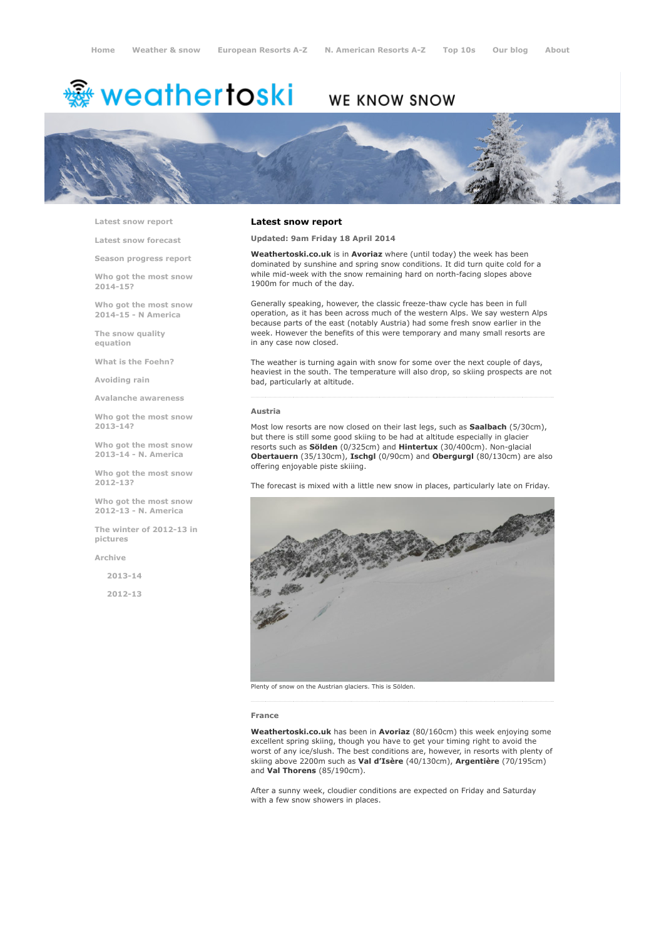# <sup>霧</sup> weathertoski

# WE KNOW SNOW



Latest snow [report](http://www.weathertoski.co.uk/weather-snow/latest-snow-report/)

Latest snow [forecast](http://www.weathertoski.co.uk/weather-snow/latest-snow-forecast/)

Season [progress](http://www.weathertoski.co.uk/weather-snow/season-progress-report/) report

Who got the most snow 2014-15?

Who got the most snow 2014-15 - N America

The snow quality [equation](http://www.weathertoski.co.uk/weather-snow/the-snow-quality-equation/)

What is the [Foehn?](http://www.weathertoski.co.uk/weather-snow/what-is-the-foehn/)

[Avoiding](http://www.weathertoski.co.uk/weather-snow/avoiding-rain/) rain

Avalanche [awareness](http://www.weathertoski.co.uk/weather-snow/avalanche-awareness/)

Who got the most snow 2013-14?

Who got the most snow 2013-14 - N. America

Who got the most snow 2012-13?

Who got the most snow 2012-13 - N. America

The winter of 2012-13 in pictures

[Archive](http://www.weathertoski.co.uk/weather-snow/archive/)

2013-14

2012-13

#### Latest snow report

Updated: 9am Friday 18 April 2014

Weathertoski.co.uk is in Avoriaz where (until today) the week has been dominated by sunshine and spring snow conditions. It did turn quite cold for a while mid-week with the snow remaining hard on north-facing slopes above 1900m for much of the day.

Generally speaking, however, the classic freeze-thaw cycle has been in full operation, as it has been across much of the western Alps. We say western Alps because parts of the east (notably Austria) had some fresh snow earlier in the week. However the benefits of this were temporary and many small resorts are in any case now closed.

The weather is turning again with snow for some over the next couple of days, heaviest in the south. The temperature will also drop, so skiing prospects are not bad, particularly at altitude.

#### Austria

Most low resorts are now closed on their last legs, such as Saalbach (5/30cm), but there is still some good skiing to be had at altitude especially in glacier resorts such as Sölden (0/325cm) and Hintertux (30/400cm). Non-glacial Obertauern (35/130cm), Ischgl (0/90cm) and Obergurgl (80/130cm) are also offering enjoyable piste skiiing.

The forecast is mixed with a little new snow in places, particularly late on Friday.



Plenty of snow on the Austrian glaciers. This is Sölden.

#### France

Weathertoski.co.uk has been in Avoriaz (80/160cm) this week enjoying some excellent spring skiing, though you have to get your timing right to avoid the worst of any ice/slush. The best conditions are, however, in resorts with plenty of skiing above 2200m such as Val d'Isère (40/130cm), Argentière (70/195cm) and Val Thorens (85/190cm).

After a sunny week, cloudier conditions are expected on Friday and Saturday with a few snow showers in places.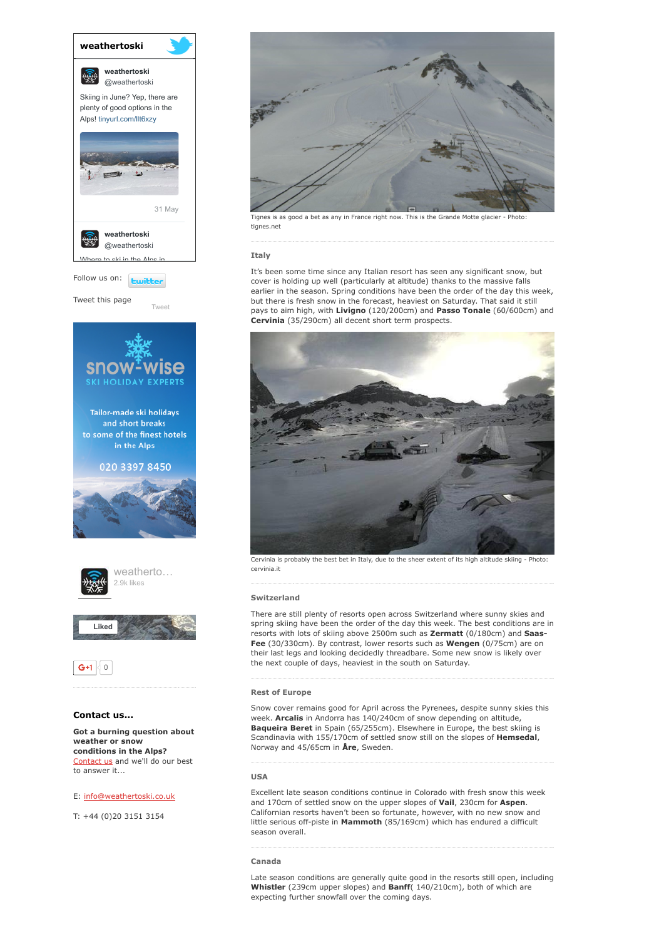

Tweet this page

[Tweet](https://twitter.com/intent/tweet?original_referer=http%3A%2F%2Fwww.weathertoski.co.uk%2Fweather-snow%2Farchive%2Fsnow-report-18-04-2014%2F&ref_src=twsrc%5Etfw&text=Weather%20to%20ski%20-%20snow%20report%20-%2018%20April%202014&tw_p=tweetbutton&url=http%3A%2F%2Fwww.weathertoski.co.uk%2Fweather-snow%2Farchive%2Fsnow-report-18-04-2014%2F)







# Contact us...

Got a burning question about weather or snow conditions in the Alps? [Contact](http://www.weathertoski.co.uk/about-1/contact-us/) us and we'll do our best to answer it...

## E: [info@weathertoski.co.uk](mailto:fraser@weathertoski.co.uk)

T: +44 (0)20 3151 3154



Tignes is as good a bet as any in France right now. This is the Grande Motte glacier - Phot tignes.net

#### Italy

It's been some time since any Italian resort has seen any significant snow, but cover is holding up well (particularly at altitude) thanks to the massive falls earlier in the season. Spring conditions have been the order of the day this week, but there is fresh snow in the forecast, heaviest on Saturday. That said it still pays to aim high, with Livigno (120/200cm) and Passo Tonale (60/600cm) and Cervinia (35/290cm) all decent short term prospects.



Cervinia is probably the best bet in Italy, due to the sheer extent of its high altitude skiing - Photo: cervinia.it

### Switzerland

There are still plenty of resorts open across Switzerland where sunny skies and spring skiing have been the order of the day this week. The best conditions are in resorts with lots of skiing above 2500m such as Zermatt (0/180cm) and Saas-Fee (30/330cm). By contrast, lower resorts such as Wengen (0/75cm) are on their last legs and looking decidedly threadbare. Some new snow is likely over the next couple of days, heaviest in the south on Saturday.

# Rest of Europe

Snow cover remains good for April across the Pyrenees, despite sunny skies this week. Arcalis in Andorra has 140/240cm of snow depending on altitude, Baqueira Beret in Spain (65/255cm). Elsewhere in Europe, the best skiing is Scandinavia with 155/170cm of settled snow still on the slopes of Hemsedal, Norway and 45/65cm in Åre, Sweden.

#### USA

Excellent late season conditions continue in Colorado with fresh snow this week and 170cm of settled snow on the upper slopes of Vail, 230cm for Aspen. Californian resorts haven't been so fortunate, however, with no new snow and little serious off-piste in Mammoth (85/169cm) which has endured a difficult season overall.

# Canada

Late season conditions are generally quite good in the resorts still open, including Whistler (239cm upper slopes) and Banff( 140/210cm), both of which are expecting further snowfall over the coming days.